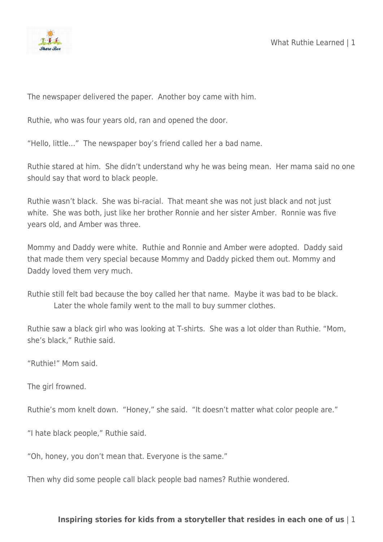

The newspaper delivered the paper. Another boy came with him.

Ruthie, who was four years old, ran and opened the door.

"Hello, little…" The newspaper boy's friend called her a bad name.

Ruthie stared at him. She didn't understand why he was being mean. Her mama said no one should say that word to black people.

Ruthie wasn't black. She was bi-racial. That meant she was not just black and not just white. She was both, just like her brother Ronnie and her sister Amber. Ronnie was five years old, and Amber was three.

Mommy and Daddy were white. Ruthie and Ronnie and Amber were adopted. Daddy said that made them very special because Mommy and Daddy picked them out. Mommy and Daddy loved them very much.

Ruthie still felt bad because the boy called her that name. Maybe it was bad to be black. Later the whole family went to the mall to buy summer clothes.

Ruthie saw a black girl who was looking at T-shirts. She was a lot older than Ruthie. "Mom, she's black," Ruthie said.

"Ruthie!" Mom said.

The girl frowned.

Ruthie's mom knelt down. "Honey," she said. "It doesn't matter what color people are."

"I hate black people," Ruthie said.

"Oh, honey, you don't mean that. Everyone is the same."

Then why did some people call black people bad names? Ruthie wondered.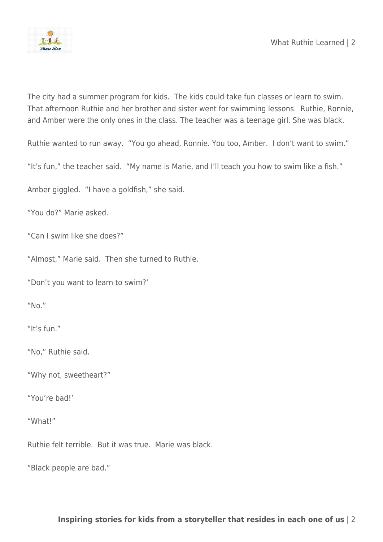

The city had a summer program for kids. The kids could take fun classes or learn to swim. That afternoon Ruthie and her brother and sister went for swimming lessons. Ruthie, Ronnie, and Amber were the only ones in the class. The teacher was a teenage girl. She was black.

Ruthie wanted to run away. "You go ahead, Ronnie. You too, Amber. I don't want to swim."

"It's fun," the teacher said. "My name is Marie, and I'll teach you how to swim like a fish."

Amber giggled. "I have a goldfish," she said.

"You do?" Marie asked.

"Can I swim like she does?"

"Almost," Marie said. Then she turned to Ruthie.

"Don't you want to learn to swim?'

"No."

"It's fun."

"No," Ruthie said.

"Why not, sweetheart?"

"You're bad!'

"What!"

Ruthie felt terrible. But it was true. Marie was black.

"Black people are bad."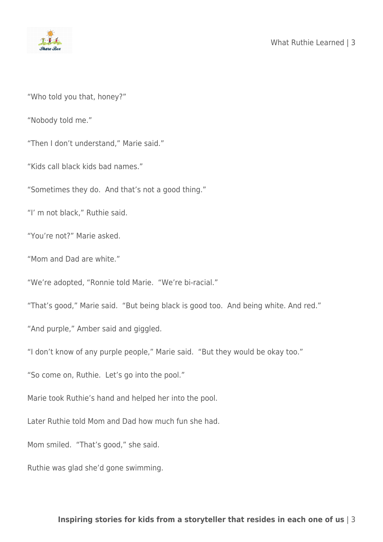

"Who told you that, honey?"

"Nobody told me."

"Then I don't understand," Marie said."

"Kids call black kids bad names."

"Sometimes they do. And that's not a good thing."

"I' m not black," Ruthie said.

"You're not?" Marie asked.

"Mom and Dad are white."

"We're adopted, "Ronnie told Marie. "We're bi-racial."

"That's good," Marie said. "But being black is good too. And being white. And red."

"And purple," Amber said and giggled.

"I don't know of any purple people," Marie said. "But they would be okay too."

"So come on, Ruthie. Let's go into the pool."

Marie took Ruthie's hand and helped her into the pool.

Later Ruthie told Mom and Dad how much fun she had.

Mom smiled. "That's good," she said.

Ruthie was glad she'd gone swimming.